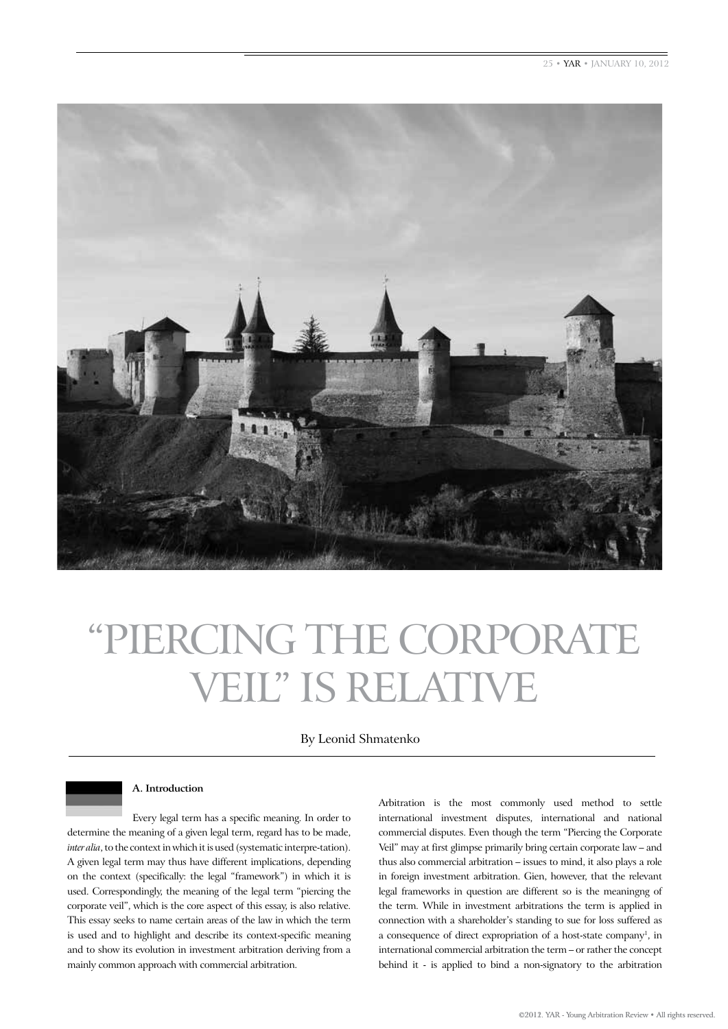

# "Piercing the Corporate Veil" is relative

By Leonid Shmatenko

### **A. Introduction**

Every legal term has a specific meaning. In order to determine the meaning of a given legal term, regard has to be made, *inter alia*, to the context in which it is used (systematic interpre-tation). A given legal term may thus have different implications, depending on the context (specifically: the legal "framework") in which it is used. Correspondingly, the meaning of the legal term "piercing the corporate veil", which is the core aspect of this essay, is also relative. This essay seeks to name certain areas of the law in which the term is used and to highlight and describe its context-specific meaning and to show its evolution in investment arbitration deriving from a mainly common approach with commercial arbitration.

Arbitration is the most commonly used method to settle international investment disputes, international and national commercial disputes. Even though the term "Piercing the Corporate Veil" may at first glimpse primarily bring certain corporate law – and thus also commercial arbitration – issues to mind, it also plays a role in foreign investment arbitration. Gien, however, that the relevant legal frameworks in question are different so is the meaningng of the term. While in investment arbitrations the term is applied in connection with a shareholder's standing to sue for loss suffered as a consequence of direct expropriation of a host-state company<sup>1</sup>, in international commercial arbitration the term – or rather the concept behind it - is applied to bind a non-signatory to the arbitration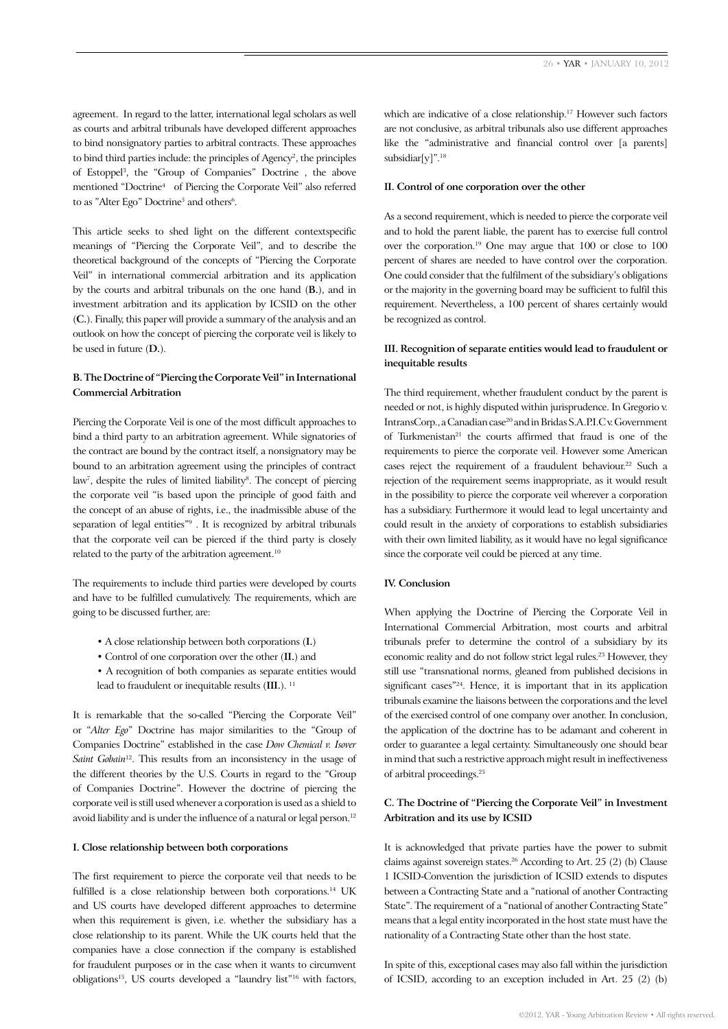agreement. In regard to the latter, international legal scholars as well as courts and arbitral tribunals have developed different approaches to bind nonsignatory parties to arbitral contracts. These approaches to bind third parties include: the principles of Agency<sup>2</sup>, the principles of Estoppel<sup>3</sup> , the "Group of Companies" Doctrine , the above mentioned "Doctrine<sup>4</sup> of Piercing the Corporate Veil" also referred to as "Alter Ego" Doctrine<sup>5</sup> and others<sup>6</sup>.

This article seeks to shed light on the different contextspecific meanings of "Piercing the Corporate Veil", and to describe the theoretical background of the concepts of "Piercing the Corporate Veil" in international commercial arbitration and its application by the courts and arbitral tribunals on the one hand (**B.**), and in investment arbitration and its application by ICSID on the other (**C.**). Finally, this paper will provide a summary of the analysis and an outlook on how the concept of piercing the corporate veil is likely to be used in future (**D.**).

## **B. The Doctrine of "Piercing the Corporate Veil" in International Commercial Arbitration**

Piercing the Corporate Veil is one of the most difficult approaches to bind a third party to an arbitration agreement. While signatories of the contract are bound by the contract itself, a nonsignatory may be bound to an arbitration agreement using the principles of contract law<sup>7</sup>, despite the rules of limited liability<sup>8</sup>. The concept of piercing the corporate veil "is based upon the principle of good faith and the concept of an abuse of rights, i.e., the inadmissible abuse of the separation of legal entities"9 . It is recognized by arbitral tribunals that the corporate veil can be pierced if the third party is closely related to the party of the arbitration agreement.<sup>10</sup>

The requirements to include third parties were developed by courts and have to be fulfilled cumulatively. The requirements, which are going to be discussed further, are:

- A close relationship between both corporations (**I.**)
- Control of one corporation over the other (**II.**) and
- A recognition of both companies as separate entities would lead to fraudulent or inequitable results (III.).<sup>11</sup>

It is remarkable that the so-called "Piercing the Corporate Veil" or "*Alter Ego*" Doctrine has major similarities to the "Group of Companies Doctrine" established in the case *Dow Chemical v. Isover Saint Gobain*<sup>12</sup>. This results from an inconsistency in the usage of the different theories by the U.S. Courts in regard to the "Group of Companies Doctrine". However the doctrine of piercing the corporate veil is still used whenever a corporation is used as a shield to avoid liability and is under the influence of a natural or legal person.<sup>12</sup>

#### **I. Close relationship between both corporations**

The first requirement to pierce the corporate veil that needs to be fulfilled is a close relationship between both corporations.<sup>14</sup> UK and US courts have developed different approaches to determine when this requirement is given, i.e. whether the subsidiary has a close relationship to its parent. While the UK courts held that the companies have a close connection if the company is established for fraudulent purposes or in the case when it wants to circumvent obligations<sup>15</sup>, US courts developed a "laundry list"<sup>16</sup> with factors,

which are indicative of a close relationship.<sup>17</sup> However such factors are not conclusive, as arbitral tribunals also use different approaches like the "administrative and financial control over [a parents] subsidiar[y]".18

#### **II. Control of one corporation over the other**

As a second requirement, which is needed to pierce the corporate veil and to hold the parent liable, the parent has to exercise full control over the corporation.19 One may argue that 100 or close to 100 percent of shares are needed to have control over the corporation. One could consider that the fulfilment of the subsidiary's obligations or the majority in the governing board may be sufficient to fulfil this requirement. Nevertheless, a 100 percent of shares certainly would be recognized as control.

## **III. Recognition of separate entities would lead to fraudulent or inequitable results**

The third requirement, whether fraudulent conduct by the parent is needed or not, is highly disputed within jurisprudence. In Gregorio v. IntransCorp., a Canadian case<sup>20</sup> and in Bridas S.A.P.I.C v. Government of Turkmenistan<sup>21</sup> the courts affirmed that fraud is one of the requirements to pierce the corporate veil. However some American cases reject the requirement of a fraudulent behaviour.<sup>22</sup> Such a rejection of the requirement seems inappropriate, as it would result in the possibility to pierce the corporate veil wherever a corporation has a subsidiary. Furthermore it would lead to legal uncertainty and could result in the anxiety of corporations to establish subsidiaries with their own limited liability, as it would have no legal significance since the corporate veil could be pierced at any time.

## **IV. Conclusion**

When applying the Doctrine of Piercing the Corporate Veil in International Commercial Arbitration, most courts and arbitral tribunals prefer to determine the control of a subsidiary by its economic reality and do not follow strict legal rules.<sup>23</sup> However, they still use "transnational norms, gleaned from published decisions in significant cases"<sup>24</sup>. Hence, it is important that in its application tribunals examine the liaisons between the corporations and the level of the exercised control of one company over another. In conclusion, the application of the doctrine has to be adamant and coherent in order to guarantee a legal certainty. Simultaneously one should bear in mind that such a restrictive approach might result in ineffectiveness of arbitral proceedings.<sup>25</sup>

# **C. The Doctrine of "Piercing the Corporate Veil" in Investment Arbitration and its use by ICSID**

It is acknowledged that private parties have the power to submit claims against sovereign states.<sup>26</sup> According to Art. 25 (2) (b) Clause 1 ICSID-Convention the jurisdiction of ICSID extends to disputes between a Contracting State and a "national of another Contracting State". The requirement of a "national of another Contracting State" means that a legal entity incorporated in the host state must have the nationality of a Contracting State other than the host state.

In spite of this, exceptional cases may also fall within the jurisdiction of ICSID, according to an exception included in Art. 25 (2) (b)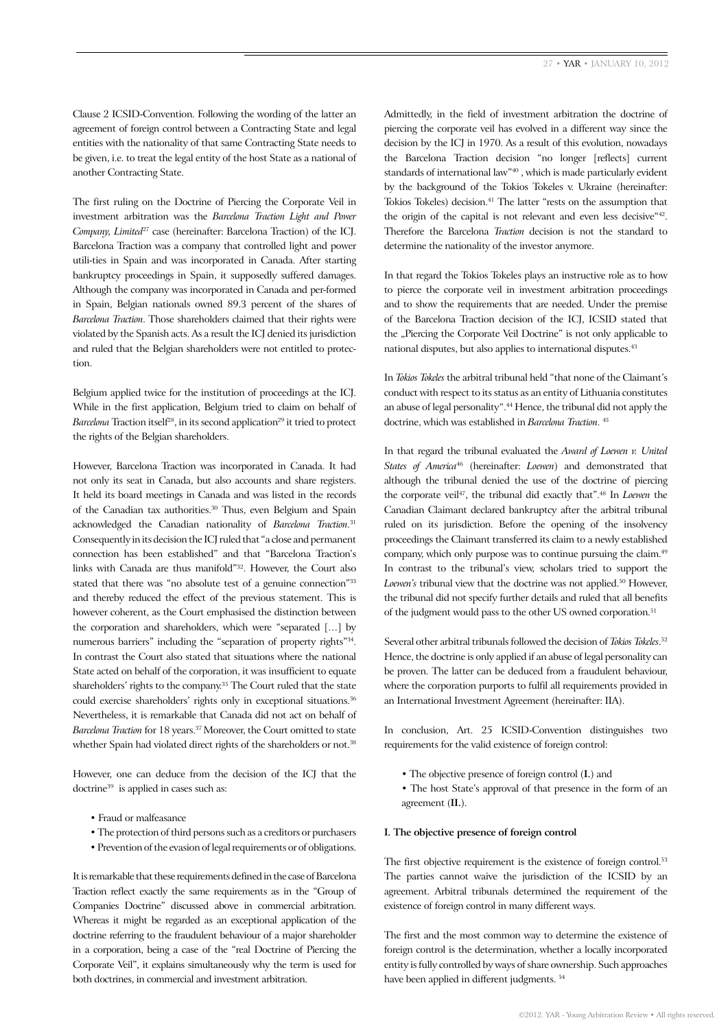Clause 2 ICSID-Convention. Following the wording of the latter an agreement of foreign control between a Contracting State and legal entities with the nationality of that same Contracting State needs to be given, i.e. to treat the legal entity of the host State as a national of another Contracting State.

The first ruling on the Doctrine of Piercing the Corporate Veil in investment arbitration was the *Barcelona Traction Light and Power Company, Limited*<sup>27</sup> case (hereinafter: Barcelona Traction) of the ICJ. Barcelona Traction was a company that controlled light and power utili-ties in Spain and was incorporated in Canada. After starting bankruptcy proceedings in Spain, it supposedly suffered damages. Although the company was incorporated in Canada and per-formed in Spain, Belgian nationals owned 89.3 percent of the shares of *Barcelona Traction*. Those shareholders claimed that their rights were violated by the Spanish acts. As a result the ICJ denied its jurisdiction and ruled that the Belgian shareholders were not entitled to protection.

Belgium applied twice for the institution of proceedings at the ICJ. While in the first application, Belgium tried to claim on behalf of *Barcelona* Traction itself<sup>28</sup>, in its second application<sup>29</sup> it tried to protect the rights of the Belgian shareholders.

However, Barcelona Traction was incorporated in Canada. It had not only its seat in Canada, but also accounts and share registers. It held its board meetings in Canada and was listed in the records of the Canadian tax authorities.<sup>30</sup> Thus, even Belgium and Spain acknowledged the Canadian nationality of *Barcelona Traction*. 31 Consequently in its decision the ICJ ruled that "a close and permanent connection has been established" and that "Barcelona Traction's links with Canada are thus manifold"<sup>32</sup>. However, the Court also stated that there was "no absolute test of a genuine connection"<sup>33</sup> and thereby reduced the effect of the previous statement. This is however coherent, as the Court emphasised the distinction between the corporation and shareholders, which were "separated […] by numerous barriers" including the "separation of property rights"<sup>34</sup>. In contrast the Court also stated that situations where the national State acted on behalf of the corporation, it was insufficient to equate shareholders' rights to the company.<sup>35</sup> The Court ruled that the state could exercise shareholders' rights only in exceptional situations.<sup>36</sup> Nevertheless, it is remarkable that Canada did not act on behalf of *Barcelona Traction* for 18 years.<sup>37</sup>Moreover, the Court omitted to state whether Spain had violated direct rights of the shareholders or not.<sup>38</sup>

However, one can deduce from the decision of the ICJ that the doctrine<sup>39</sup> is applied in cases such as:

- Fraud or malfeasance
- The protection of third persons such as a creditors or purchasers
- Prevention of the evasion of legal requirements or of obligations.

It is remarkable that these requirements defined in the case of Barcelona Traction reflect exactly the same requirements as in the "Group of Companies Doctrine" discussed above in commercial arbitration. Whereas it might be regarded as an exceptional application of the doctrine referring to the fraudulent behaviour of a major shareholder in a corporation, being a case of the "real Doctrine of Piercing the Corporate Veil", it explains simultaneously why the term is used for both doctrines, in commercial and investment arbitration.

Admittedly, in the field of investment arbitration the doctrine of piercing the corporate veil has evolved in a different way since the decision by the ICJ in 1970. As a result of this evolution, nowadays the Barcelona Traction decision "no longer [reflects] current standards of international law"<sup>40</sup> , which is made particularly evident by the background of the Tokios Tokeles v. Ukraine (hereinafter: Tokios Tokeles) decision.<sup>41</sup> The latter "rests on the assumption that the origin of the capital is not relevant and even less decisive<sup>"42</sup>. Therefore the Barcelona *Traction* decision is not the standard to determine the nationality of the investor anymore.

In that regard the Tokios Tokeles plays an instructive role as to how to pierce the corporate veil in investment arbitration proceedings and to show the requirements that are needed. Under the premise of the Barcelona Traction decision of the ICJ, ICSID stated that the "Piercing the Corporate Veil Doctrine" is not only applicable to national disputes, but also applies to international disputes.<sup>43</sup>

In *Tokios Tokeles* the arbitral tribunal held "that none of the Claimant's conduct with respect to its status as an entity of Lithuania constitutes an abuse of legal personality".<sup>44</sup> Hence, the tribunal did not apply the doctrine, which was established in *Barcelona Traction*. 45

In that regard the tribunal evaluated the *Award of Loewen v. United States of America*<sup>46</sup> (hereinafter: *Loewen*) and demonstrated that although the tribunal denied the use of the doctrine of piercing the corporate veil<sup>47</sup>, the tribunal did exactly that".<sup>48</sup> In *Loewen* the Canadian Claimant declared bankruptcy after the arbitral tribunal ruled on its jurisdiction. Before the opening of the insolvency proceedings the Claimant transferred its claim to a newly established company, which only purpose was to continue pursuing the claim.<sup>49</sup> In contrast to the tribunal's view, scholars tried to support the *Loewen's* tribunal view that the doctrine was not applied.<sup>50</sup> However, the tribunal did not specify further details and ruled that all benefits of the judgment would pass to the other US owned corporation.<sup>51</sup>

Several other arbitral tribunals followed the decision of *Tokios Tokeles*. 52 Hence, the doctrine is only applied if an abuse of legal personality can be proven. The latter can be deduced from a fraudulent behaviour, where the corporation purports to fulfil all requirements provided in an International Investment Agreement (hereinafter: IIA).

In conclusion, Art. 25 ICSID-Convention distinguishes two requirements for the valid existence of foreign control:

- The objective presence of foreign control (**I.**) and
- The host State's approval of that presence in the form of an agreement (**II.**).

#### **I. The objective presence of foreign control**

The first objective requirement is the existence of foreign control.<sup>53</sup> The parties cannot waive the jurisdiction of the ICSID by an agreement. Arbitral tribunals determined the requirement of the existence of foreign control in many different ways.

The first and the most common way to determine the existence of foreign control is the determination, whether a locally incorporated entity is fully controlled by ways of share ownership. Such approaches have been applied in different judgments.<sup>54</sup>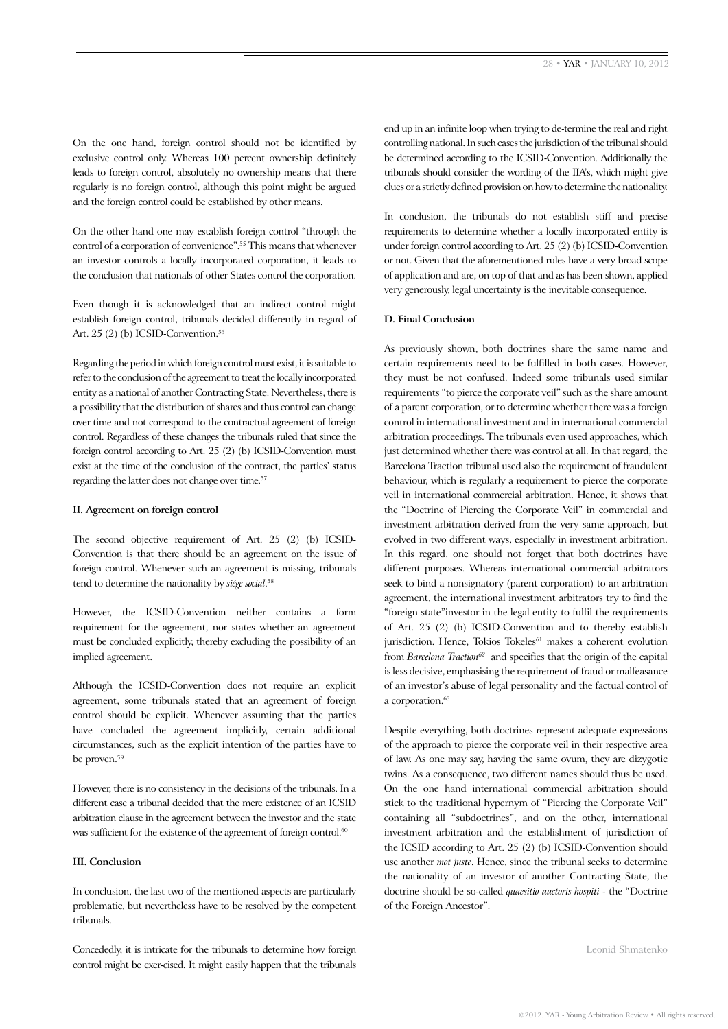On the one hand, foreign control should not be identified by exclusive control only. Whereas 100 percent ownership definitely leads to foreign control, absolutely no ownership means that there regularly is no foreign control, although this point might be argued and the foreign control could be established by other means.

On the other hand one may establish foreign control "through the control of a corporation of convenience".<sup>55</sup> This means that whenever an investor controls a locally incorporated corporation, it leads to the conclusion that nationals of other States control the corporation.

Even though it is acknowledged that an indirect control might establish foreign control, tribunals decided differently in regard of Art. 25 (2) (b) ICSID-Convention.<sup>56</sup>

Regarding the period in which foreign control must exist, it is suitable to refer to the conclusion of the agreement to treat the locally incorporated entity as a national of another Contracting State. Nevertheless, there is a possibility that the distribution of shares and thus control can change over time and not correspond to the contractual agreement of foreign control. Regardless of these changes the tribunals ruled that since the foreign control according to Art. 25 (2) (b) ICSID-Convention must exist at the time of the conclusion of the contract, the parties' status regarding the latter does not change over time.<sup>57</sup>

#### **II. Agreement on foreign control**

The second objective requirement of Art. 25 (2) (b) ICSID-Convention is that there should be an agreement on the issue of foreign control. Whenever such an agreement is missing, tribunals tend to determine the nationality by *siége social*. 58

However, the ICSID-Convention neither contains a form requirement for the agreement, nor states whether an agreement must be concluded explicitly, thereby excluding the possibility of an implied agreement.

Although the ICSID-Convention does not require an explicit agreement, some tribunals stated that an agreement of foreign control should be explicit. Whenever assuming that the parties have concluded the agreement implicitly, certain additional circumstances, such as the explicit intention of the parties have to be proven.<sup>59</sup>

However, there is no consistency in the decisions of the tribunals. In a different case a tribunal decided that the mere existence of an ICSID arbitration clause in the agreement between the investor and the state was sufficient for the existence of the agreement of foreign control.<sup>60</sup>

# **III. Conclusion**

In conclusion, the last two of the mentioned aspects are particularly problematic, but nevertheless have to be resolved by the competent tribunals.

Concededly, it is intricate for the tribunals to determine how foreign control might be exer-cised. It might easily happen that the tribunals end up in an infinite loop when trying to de-termine the real and right controlling national. In such cases the jurisdiction of the tribunal should be determined according to the ICSID-Convention. Additionally the tribunals should consider the wording of the IIA's, which might give clues or a strictly defined provision on how to determine the nationality.

In conclusion, the tribunals do not establish stiff and precise requirements to determine whether a locally incorporated entity is under foreign control according to Art. 25 (2) (b) ICSID-Convention or not. Given that the aforementioned rules have a very broad scope of application and are, on top of that and as has been shown, applied very generously, legal uncertainty is the inevitable consequence.

#### **D. Final Conclusion**

As previously shown, both doctrines share the same name and certain requirements need to be fulfilled in both cases. However, they must be not confused. Indeed some tribunals used similar requirements "to pierce the corporate veil" such as the share amount of a parent corporation, or to determine whether there was a foreign control in international investment and in international commercial arbitration proceedings. The tribunals even used approaches, which just determined whether there was control at all. In that regard, the Barcelona Traction tribunal used also the requirement of fraudulent behaviour, which is regularly a requirement to pierce the corporate veil in international commercial arbitration. Hence, it shows that the "Doctrine of Piercing the Corporate Veil" in commercial and investment arbitration derived from the very same approach, but evolved in two different ways, especially in investment arbitration. In this regard, one should not forget that both doctrines have different purposes. Whereas international commercial arbitrators seek to bind a nonsignatory (parent corporation) to an arbitration agreement, the international investment arbitrators try to find the "foreign state"investor in the legal entity to fulfil the requirements of Art. 25 (2) (b) ICSID-Convention and to thereby establish jurisdiction. Hence, Tokios Tokeles<sup>61</sup> makes a coherent evolution from *Barcelona Traction<sup>62</sup>* and specifies that the origin of the capital is less decisive, emphasising the requirement of fraud or malfeasance of an investor's abuse of legal personality and the factual control of a corporation.<sup>63</sup>

Despite everything, both doctrines represent adequate expressions of the approach to pierce the corporate veil in their respective area of law. As one may say, having the same ovum, they are dizygotic twins. As a consequence, two different names should thus be used. On the one hand international commercial arbitration should stick to the traditional hypernym of "Piercing the Corporate Veil" containing all "subdoctrines", and on the other, international investment arbitration and the establishment of jurisdiction of the ICSID according to Art. 25 (2) (b) ICSID-Convention should use another *mot juste*. Hence, since the tribunal seeks to determine the nationality of an investor of another Contracting State, the doctrine should be so-called *quaesitio auctoris hospiti* - the "Doctrine of the Foreign Ancestor".

Leonid Shmatenko